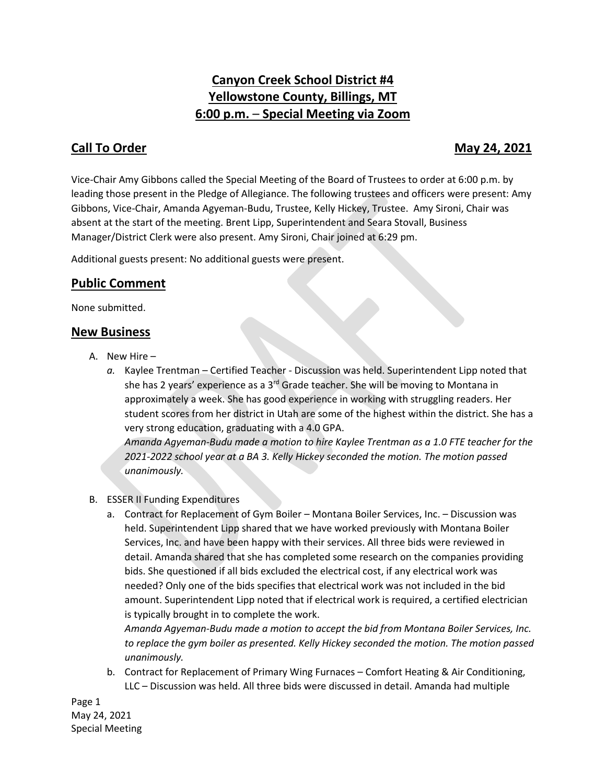# **Canyon Creek School District #4 Yellowstone County, Billings, MT 6:00 p.m.** – **Special Meeting via Zoom**

## **Call To Order May 24, 2021**

Vice-Chair Amy Gibbons called the Special Meeting of the Board of Trustees to order at 6:00 p.m. by leading those present in the Pledge of Allegiance. The following trustees and officers were present: Amy Gibbons, Vice-Chair, Amanda Agyeman-Budu, Trustee, Kelly Hickey, Trustee. Amy Sironi, Chair was absent at the start of the meeting. Brent Lipp, Superintendent and Seara Stovall, Business Manager/District Clerk were also present. Amy Sironi, Chair joined at 6:29 pm.

Additional guests present: No additional guests were present.

### **Public Comment**

None submitted.

#### **New Business**

- A. New Hire
	- *a.* Kaylee Trentman Certified Teacher Discussion was held. Superintendent Lipp noted that she has 2 years' experience as a 3<sup>rd</sup> Grade teacher. She will be moving to Montana in approximately a week. She has good experience in working with struggling readers. Her student scores from her district in Utah are some of the highest within the district. She has a very strong education, graduating with a 4.0 GPA. *Amanda Agyeman-Budu made a motion to hire Kaylee Trentman as a 1.0 FTE teacher for the 2021-2022 school year at a BA 3. Kelly Hickey seconded the motion. The motion passed*

*unanimously.*

#### B. ESSER II Funding Expenditures

a. Contract for Replacement of Gym Boiler – Montana Boiler Services, Inc. – Discussion was held. Superintendent Lipp shared that we have worked previously with Montana Boiler Services, Inc. and have been happy with their services. All three bids were reviewed in detail. Amanda shared that she has completed some research on the companies providing bids. She questioned if all bids excluded the electrical cost, if any electrical work was needed? Only one of the bids specifies that electrical work was not included in the bid amount. Superintendent Lipp noted that if electrical work is required, a certified electrician is typically brought in to complete the work.

*Amanda Agyeman-Budu made a motion to accept the bid from Montana Boiler Services, Inc. to replace the gym boiler as presented. Kelly Hickey seconded the motion. The motion passed unanimously.*

b. Contract for Replacement of Primary Wing Furnaces – Comfort Heating & Air Conditioning, LLC – Discussion was held. All three bids were discussed in detail. Amanda had multiple

Page 1 May 24, 2021 Special Meeting